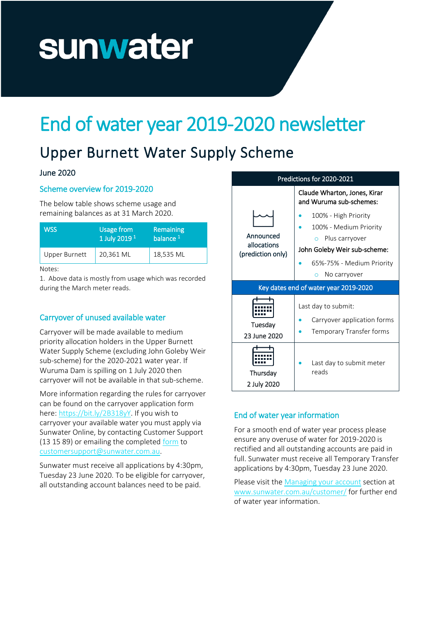# sunwater

## End of water year 2019-2020 newsletter

### Upper Burnett Water Supply Scheme

#### June 2020

#### Scheme overview for 2019-2020

The below table shows scheme usage and remaining balances as at 31 March 2020.

| <b>Usage from</b><br>1 July 2019 <sup>1</sup> | Remaining<br>balance <sup>1</sup> |
|-----------------------------------------------|-----------------------------------|
| 20,361 ML                                     | 18,535 ML                         |
|                                               |                                   |

Notes:

1. Above data is mostly from usage which was recorded during the March meter reads.

#### Carryover of unused available water

Carryover will be made available to medium priority allocation holders in the Upper Burnett Water Supply Scheme (excluding John Goleby Weir sub-scheme) for the 2020-2021 water year. If Wuruma Dam is spilling on 1 July 2020 then carryover will not be available in that sub-scheme.

More information regarding the rules for carryover can be found on the carryover application form here[: https://bit.ly/2B318yY.](https://bit.ly/2B318yY) If you wish to carryover your available water you must apply via Sunwater Online, by contacting Customer Support (13 15 89) or emailing the complete[d form](https://bit.ly/2B318yY) to [customersupport@sunwater.com.au.](mailto:customersupport@sunwater.com.au)

Sunwater must receive all applications by 4:30pm, Tuesday 23 June 2020. To be eligible for carryover, all outstanding account balances need to be paid.



#### End of water year information

For a smooth end of water year process please ensure any overuse of water for 2019-2020 is rectified and all outstanding accounts are paid in full. Sunwater must receive all Temporary Transfer applications by 4:30pm, Tuesday 23 June 2020.

Please visit th[e Managing your account](https://www.sunwater.com.au/customer/managing-your-account/) section at [www.sunwater.com.au/customer/](http://www.sunwater.com.au/customer/) for further end of water year information.